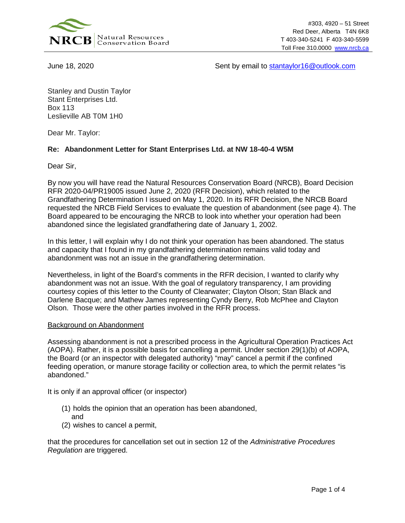

June 18, 2020 Sent by email to [stantaylor16@outlook.com](mailto:stantaylor16@outlook.com)

Stanley and Dustin Taylor Stant Enterprises Ltd. Box 113 Leslieville AB T0M 1H0

Dear Mr. Taylor:

# **Re: Abandonment Letter for Stant Enterprises Ltd. at NW 18-40-4 W5M**

Dear Sir,

By now you will have read the Natural Resources Conservation Board (NRCB), Board Decision RFR 2020-04/PR19005 issued June 2, 2020 (RFR Decision), which related to the Grandfathering Determination I issued on May 1, 2020. In its RFR Decision, the NRCB Board requested the NRCB Field Services to evaluate the question of abandonment (see page 4). The Board appeared to be encouraging the NRCB to look into whether your operation had been abandoned since the legislated grandfathering date of January 1, 2002.

In this letter, I will explain why I do not think your operation has been abandoned. The status and capacity that I found in my grandfathering determination remains valid today and abandonment was not an issue in the grandfathering determination.

Nevertheless, in light of the Board's comments in the RFR decision, I wanted to clarify why abandonment was not an issue. With the goal of regulatory transparency, I am providing courtesy copies of this letter to the County of Clearwater; Clayton Olson; Stan Black and Darlene Bacque; and Mathew James representing Cyndy Berry, Rob McPhee and Clayton Olson. Those were the other parties involved in the RFR process.

#### Background on Abandonment

Assessing abandonment is not a prescribed process in the Agricultural Operation Practices Act (AOPA). Rather, it is a possible basis for cancelling a permit. Under section 29(1)(b) of AOPA, the Board (or an inspector with delegated authority) "may" cancel a permit if the confined feeding operation, or manure storage facility or collection area, to which the permit relates "is abandoned."

It is only if an approval officer (or inspector)

- (1) holds the opinion that an operation has been abandoned, and
- (2) wishes to cancel a permit,

that the procedures for cancellation set out in section 12 of the *Administrative Procedures Regulation* are triggered.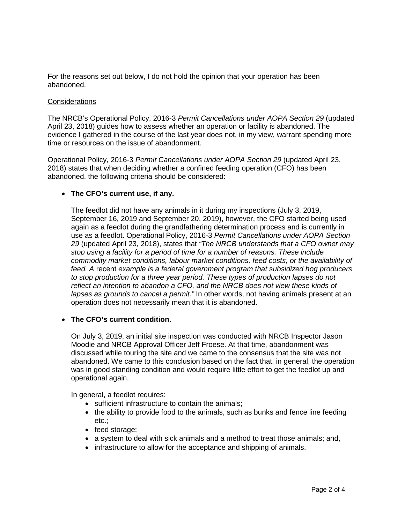For the reasons set out below, I do not hold the opinion that your operation has been abandoned.

#### **Considerations**

The NRCB's Operational Policy, 2016-3 *Permit Cancellations under AOPA Section 29* (updated April 23, 2018) guides how to assess whether an operation or facility is abandoned. The evidence I gathered in the course of the last year does not, in my view, warrant spending more time or resources on the issue of abandonment.

Operational Policy, 2016-3 *Permit Cancellations under AOPA Section 29* (updated April 23, 2018) states that when deciding whether a confined feeding operation (CFO) has been abandoned, the following criteria should be considered:

# • **The CFO's current use, if any.**

The feedlot did not have any animals in it during my inspections (July 3, 2019, September 16, 2019 and September 20, 2019), however, the CFO started being used again as a feedlot during the grandfathering determination process and is currently in use as a feedlot. Operational Policy, 2016-3 *Permit Cancellations under AOPA Section 29* (updated April 23, 2018), states that *"The NRCB understands that a CFO owner may stop using a facility for a period of time for a number of reasons. These include commodity market conditions, labour market conditions, feed costs, or the availability of feed. A* recent *example is a federal government program that subsidized hog producers to stop production for a three year period. These types of production lapses do not reflect an intention to abandon a CFO, and the NRCB does not view these kinds of lapses as grounds to cancel a permit."* In other words, not having animals present at an operation does not necessarily mean that it is abandoned.

# • **The CFO's current condition.**

On July 3, 2019, an initial site inspection was conducted with NRCB Inspector Jason Moodie and NRCB Approval Officer Jeff Froese. At that time, abandonment was discussed while touring the site and we came to the consensus that the site was not abandoned. We came to this conclusion based on the fact that, in general, the operation was in good standing condition and would require little effort to get the feedlot up and operational again.

In general, a feedlot requires:

- sufficient infrastructure to contain the animals;
- the ability to provide food to the animals, such as bunks and fence line feeding etc.;
- feed storage;
- a system to deal with sick animals and a method to treat those animals; and,
- infrastructure to allow for the acceptance and shipping of animals.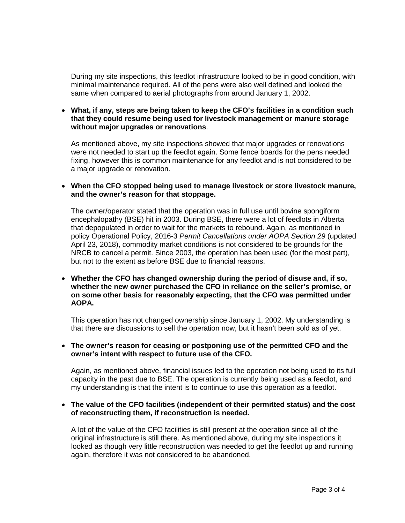During my site inspections, this feedlot infrastructure looked to be in good condition, with minimal maintenance required. All of the pens were also well defined and looked the same when compared to aerial photographs from around January 1, 2002.

• **What, if any, steps are being taken to keep the CFO's facilities in a condition such that they could resume being used for livestock management or manure storage without major upgrades or renovations**.

As mentioned above, my site inspections showed that major upgrades or renovations were not needed to start up the feedlot again. Some fence boards for the pens needed fixing, however this is common maintenance for any feedlot and is not considered to be a major upgrade or renovation.

• **When the CFO stopped being used to manage livestock or store livestock manure, and the owner's reason for that stoppage.**

The owner/operator stated that the operation was in full use until bovine spongiform encephalopathy (BSE) hit in 2003. During BSE, there were a lot of feedlots in Alberta that depopulated in order to wait for the markets to rebound. Again, as mentioned in policy Operational Policy, 2016-3 *Permit Cancellations under AOPA Section 29* (updated April 23, 2018), commodity market conditions is not considered to be grounds for the NRCB to cancel a permit. Since 2003, the operation has been used (for the most part), but not to the extent as before BSE due to financial reasons.

• **Whether the CFO has changed ownership during the period of disuse and, if so, whether the new owner purchased the CFO in reliance on the seller's promise, or on some other basis for reasonably expecting, that the CFO was permitted under AOPA.**

This operation has not changed ownership since January 1, 2002. My understanding is that there are discussions to sell the operation now, but it hasn't been sold as of yet.

#### • **The owner's reason for ceasing or postponing use of the permitted CFO and the owner's intent with respect to future use of the CFO.**

Again, as mentioned above, financial issues led to the operation not being used to its full capacity in the past due to BSE. The operation is currently being used as a feedlot, and my understanding is that the intent is to continue to use this operation as a feedlot.

### • **The value of the CFO facilities (independent of their permitted status) and the cost of reconstructing them, if reconstruction is needed.**

A lot of the value of the CFO facilities is still present at the operation since all of the original infrastructure is still there. As mentioned above, during my site inspections it looked as though very little reconstruction was needed to get the feedlot up and running again, therefore it was not considered to be abandoned.